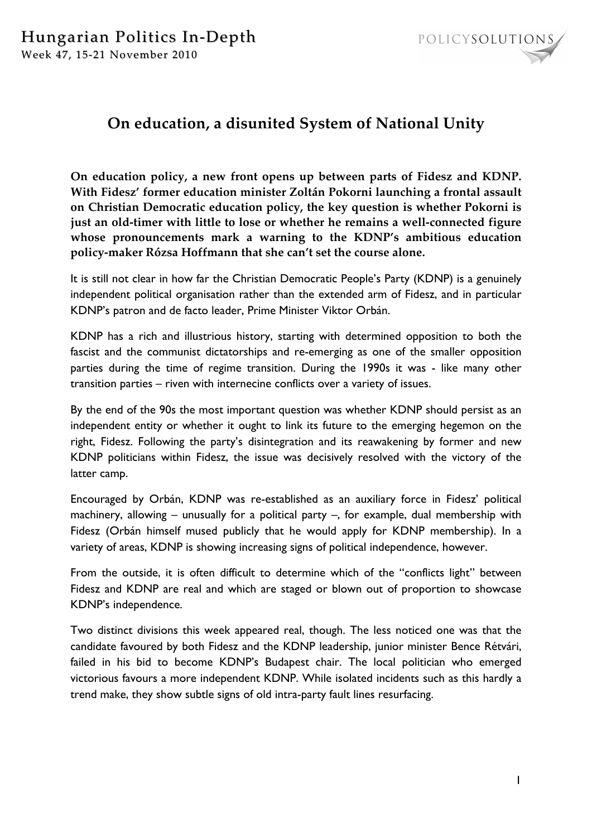

# **On education, a disunited System of National Unity**

**On education policy, a new front opens up between parts of Fidesz and KDNP. With Fidesz' former education minister Zoltán Pokorni launching a frontal assault on Christian Democratic education policy, the key question is whether Pokorni is just an old-timer with little to lose or whether he remains a well-connected figure whose pronouncements mark a warning to the KDNP's ambitious education policy-maker Rózsa Hoffmann that she can't set the course alone.** 

It is still not clear in how far the Christian Democratic People's Party (KDNP) is a genuinely independent political organisation rather than the extended arm of Fidesz, and in particular KDNP's patron and de facto leader, Prime Minister Viktor Orbán.

KDNP has a rich and illustrious history, starting with determined opposition to both the fascist and the communist dictatorships and re-emerging as one of the smaller opposition parties during the time of regime transition. During the 1990s it was - like many other transition parties – riven with internecine conflicts over a variety of issues.

By the end of the 90s the most important question was whether KDNP should persist as an independent entity or whether it ought to link its future to the emerging hegemon on the right, Fidesz. Following the party's disintegration and its reawakening by former and new KDNP politicians within Fidesz, the issue was decisively resolved with the victory of the latter camp.

Encouraged by Orbán, KDNP was re-established as an auxiliary force in Fidesz' political machinery, allowing – unusually for a political party –, for example, dual membership with Fidesz (Orbán himself mused publicly that he would apply for KDNP membership). In a variety of areas, KDNP is showing increasing signs of political independence, however.

From the outside, it is often difficult to determine which of the "conflicts light" between Fidesz and KDNP are real and which are staged or blown out of proportion to showcase KDNP's independence.

Two distinct divisions this week appeared real, though. The less noticed one was that the candidate favoured by both Fidesz and the KDNP leadership, junior minister Bence Rétvári, failed in his bid to become KDNP's Budapest chair. The local politician who emerged victorious favours a more independent KDNP. While isolated incidents such as this hardly a trend make, they show subtle signs of old intra-party fault lines resurfacing.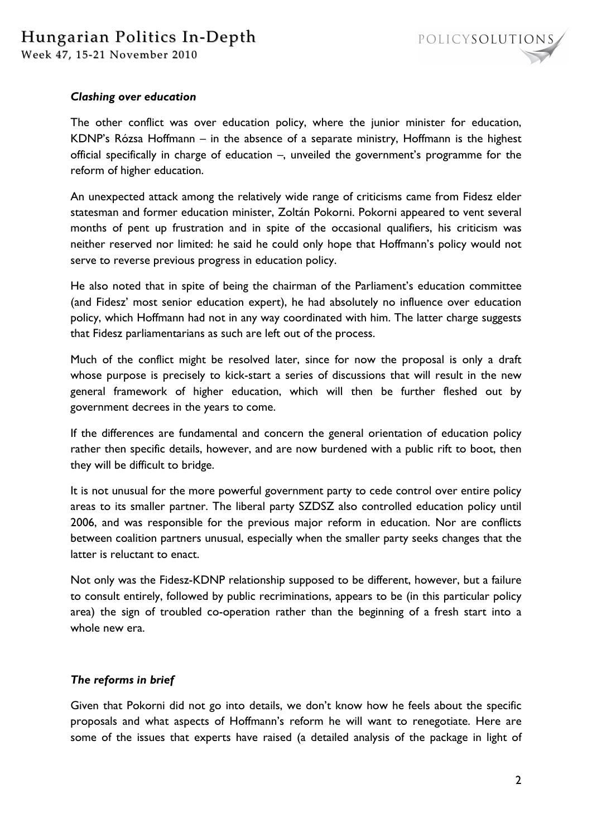

### *Clashing over education*

The other conflict was over education policy, where the junior minister for education, KDNP's Rózsa Hoffmann – in the absence of a separate ministry, Hoffmann is the highest official specifically in charge of education –, unveiled the government's programme for the reform of higher education.

An unexpected attack among the relatively wide range of criticisms came from Fidesz elder statesman and former education minister, Zoltán Pokorni. Pokorni appeared to vent several months of pent up frustration and in spite of the occasional qualifiers, his criticism was neither reserved nor limited: he said he could only hope that Hoffmann's policy would not serve to reverse previous progress in education policy.

He also noted that in spite of being the chairman of the Parliament's education committee (and Fidesz' most senior education expert), he had absolutely no influence over education policy, which Hoffmann had not in any way coordinated with him. The latter charge suggests that Fidesz parliamentarians as such are left out of the process.

Much of the conflict might be resolved later, since for now the proposal is only a draft whose purpose is precisely to kick-start a series of discussions that will result in the new general framework of higher education, which will then be further fleshed out by government decrees in the years to come.

If the differences are fundamental and concern the general orientation of education policy rather then specific details, however, and are now burdened with a public rift to boot, then they will be difficult to bridge.

It is not unusual for the more powerful government party to cede control over entire policy areas to its smaller partner. The liberal party SZDSZ also controlled education policy until 2006, and was responsible for the previous major reform in education. Nor are conflicts between coalition partners unusual, especially when the smaller party seeks changes that the latter is reluctant to enact.

Not only was the Fidesz-KDNP relationship supposed to be different, however, but a failure to consult entirely, followed by public recriminations, appears to be (in this particular policy area) the sign of troubled co-operation rather than the beginning of a fresh start into a whole new era.

#### *The reforms in brief*

Given that Pokorni did not go into details, we don't know how he feels about the specific proposals and what aspects of Hoffmann's reform he will want to renegotiate. Here are some of the issues that experts have raised (a detailed analysis of the package in light of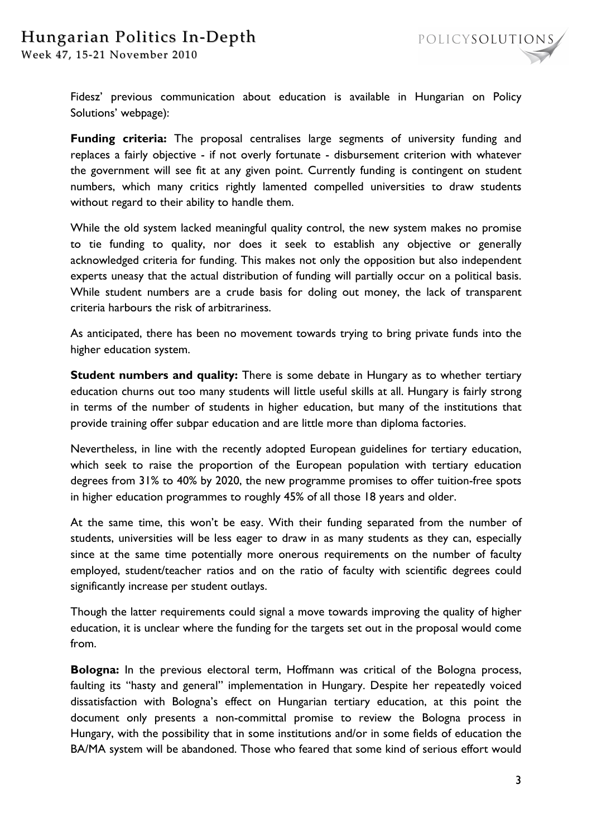# Hungarian Politics In-Depth

Week 47, 15-21 November 2010



Fidesz' previous communication about education is available in Hungarian on Policy Solutions' webpage):

**Funding criteria:** The proposal centralises large segments of university funding and replaces a fairly objective - if not overly fortunate - disbursement criterion with whatever the government will see fit at any given point. Currently funding is contingent on student numbers, which many critics rightly lamented compelled universities to draw students without regard to their ability to handle them.

While the old system lacked meaningful quality control, the new system makes no promise to tie funding to quality, nor does it seek to establish any objective or generally acknowledged criteria for funding. This makes not only the opposition but also independent experts uneasy that the actual distribution of funding will partially occur on a political basis. While student numbers are a crude basis for doling out money, the lack of transparent criteria harbours the risk of arbitrariness.

As anticipated, there has been no movement towards trying to bring private funds into the higher education system.

**Student numbers and quality:** There is some debate in Hungary as to whether tertiary education churns out too many students will little useful skills at all. Hungary is fairly strong in terms of the number of students in higher education, but many of the institutions that provide training offer subpar education and are little more than diploma factories.

Nevertheless, in line with the recently adopted European guidelines for tertiary education, which seek to raise the proportion of the European population with tertiary education degrees from 31% to 40% by 2020, the new programme promises to offer tuition-free spots in higher education programmes to roughly 45% of all those 18 years and older.

At the same time, this won't be easy. With their funding separated from the number of students, universities will be less eager to draw in as many students as they can, especially since at the same time potentially more onerous requirements on the number of faculty employed, student/teacher ratios and on the ratio of faculty with scientific degrees could significantly increase per student outlays.

Though the latter requirements could signal a move towards improving the quality of higher education, it is unclear where the funding for the targets set out in the proposal would come from.

**Bologna:** In the previous electoral term, Hoffmann was critical of the Bologna process, faulting its "hasty and general" implementation in Hungary. Despite her repeatedly voiced dissatisfaction with Bologna's effect on Hungarian tertiary education, at this point the document only presents a non-committal promise to review the Bologna process in Hungary, with the possibility that in some institutions and/or in some fields of education the BA/MA system will be abandoned. Those who feared that some kind of serious effort would